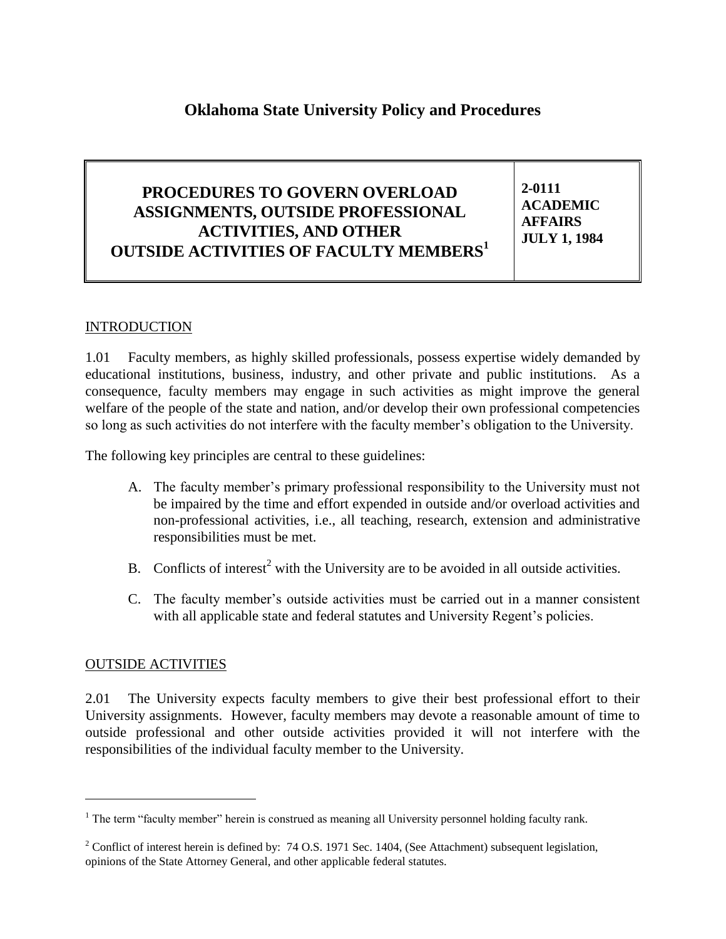# **Oklahoma State University Policy and Procedures**

#### **PROCEDURES TO GOVERN OVERLOAD ASSIGNMENTS, OUTSIDE PROFESSIONAL ACTIVITIES, AND OTHER OUTSIDE ACTIVITIES OF FACULTY MEMBERS<sup>1</sup> 2-0111 ACADEMIC AFFAIRS JULY 1, 1984**

#### INTRODUCTION

1.01 Faculty members, as highly skilled professionals, possess expertise widely demanded by educational institutions, business, industry, and other private and public institutions. As a consequence, faculty members may engage in such activities as might improve the general welfare of the people of the state and nation, and/or develop their own professional competencies so long as such activities do not interfere with the faculty member's obligation to the University.

The following key principles are central to these guidelines:

- A. The faculty member's primary professional responsibility to the University must not be impaired by the time and effort expended in outside and/or overload activities and non-professional activities, i.e., all teaching, research, extension and administrative responsibilities must be met.
- B. Conflicts of interest<sup>2</sup> with the University are to be avoided in all outside activities.
- C. The faculty member's outside activities must be carried out in a manner consistent with all applicable state and federal statutes and University Regent's policies.

#### OUTSIDE ACTIVITIES

l

2.01 The University expects faculty members to give their best professional effort to their University assignments. However, faculty members may devote a reasonable amount of time to outside professional and other outside activities provided it will not interfere with the responsibilities of the individual faculty member to the University.

 $<sup>1</sup>$  The term "faculty member" herein is construed as meaning all University personnel holding faculty rank.</sup>

<sup>&</sup>lt;sup>2</sup> Conflict of interest herein is defined by: 74 O.S. 1971 Sec. 1404, (See Attachment) subsequent legislation, opinions of the State Attorney General, and other applicable federal statutes.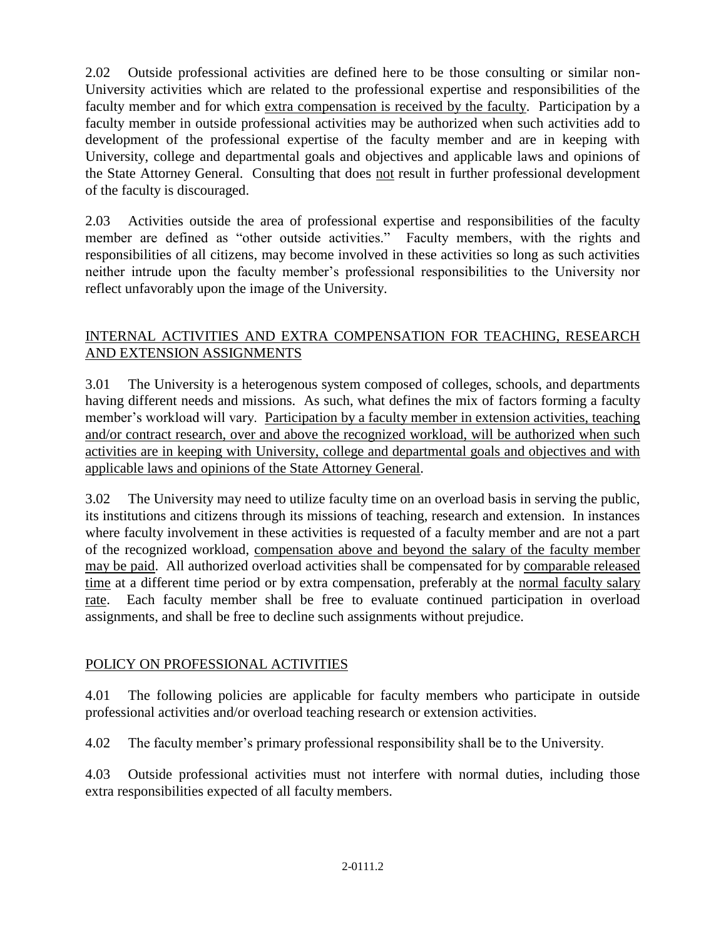2.02 Outside professional activities are defined here to be those consulting or similar non-University activities which are related to the professional expertise and responsibilities of the faculty member and for which extra compensation is received by the faculty. Participation by a faculty member in outside professional activities may be authorized when such activities add to development of the professional expertise of the faculty member and are in keeping with University, college and departmental goals and objectives and applicable laws and opinions of the State Attorney General. Consulting that does not result in further professional development of the faculty is discouraged.

2.03 Activities outside the area of professional expertise and responsibilities of the faculty member are defined as "other outside activities." Faculty members, with the rights and responsibilities of all citizens, may become involved in these activities so long as such activities neither intrude upon the faculty member's professional responsibilities to the University nor reflect unfavorably upon the image of the University.

#### INTERNAL ACTIVITIES AND EXTRA COMPENSATION FOR TEACHING, RESEARCH AND EXTENSION ASSIGNMENTS

3.01 The University is a heterogenous system composed of colleges, schools, and departments having different needs and missions. As such, what defines the mix of factors forming a faculty member's workload will vary. Participation by a faculty member in extension activities, teaching and/or contract research, over and above the recognized workload, will be authorized when such activities are in keeping with University, college and departmental goals and objectives and with applicable laws and opinions of the State Attorney General.

3.02 The University may need to utilize faculty time on an overload basis in serving the public, its institutions and citizens through its missions of teaching, research and extension. In instances where faculty involvement in these activities is requested of a faculty member and are not a part of the recognized workload, compensation above and beyond the salary of the faculty member may be paid. All authorized overload activities shall be compensated for by comparable released time at a different time period or by extra compensation, preferably at the normal faculty salary rate. Each faculty member shall be free to evaluate continued participation in overload assignments, and shall be free to decline such assignments without prejudice.

## POLICY ON PROFESSIONAL ACTIVITIES

4.01 The following policies are applicable for faculty members who participate in outside professional activities and/or overload teaching research or extension activities.

4.02 The faculty member's primary professional responsibility shall be to the University.

4.03 Outside professional activities must not interfere with normal duties, including those extra responsibilities expected of all faculty members.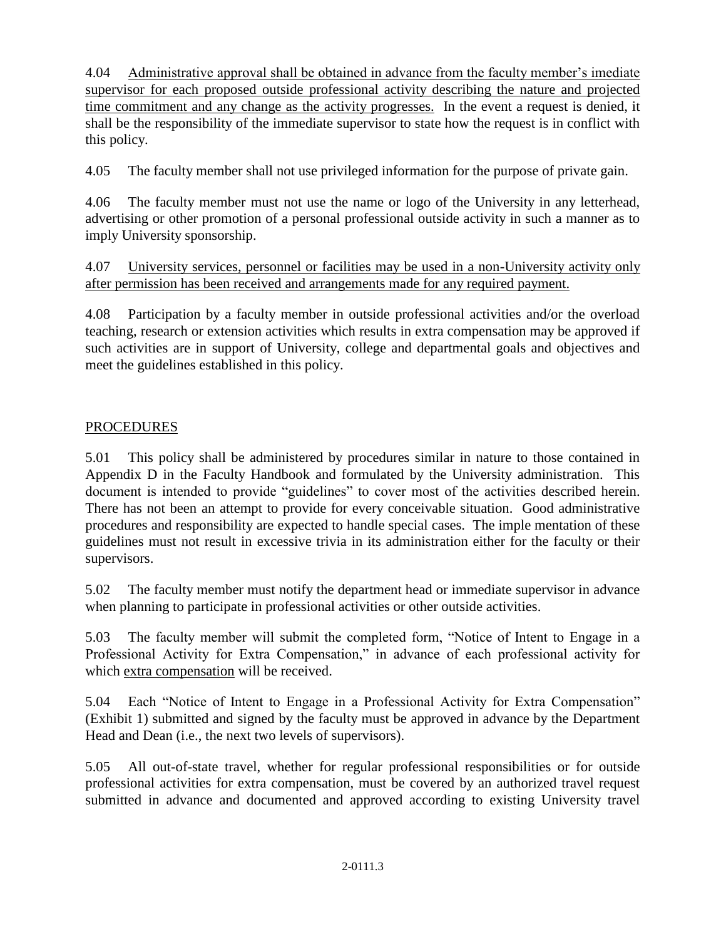4.04 Administrative approval shall be obtained in advance from the faculty member's imediate supervisor for each proposed outside professional activity describing the nature and projected time commitment and any change as the activity progresses. In the event a request is denied, it shall be the responsibility of the immediate supervisor to state how the request is in conflict with this policy.

4.05 The faculty member shall not use privileged information for the purpose of private gain.

4.06 The faculty member must not use the name or logo of the University in any letterhead, advertising or other promotion of a personal professional outside activity in such a manner as to imply University sponsorship.

4.07 University services, personnel or facilities may be used in a non-University activity only after permission has been received and arrangements made for any required payment.

4.08 Participation by a faculty member in outside professional activities and/or the overload teaching, research or extension activities which results in extra compensation may be approved if such activities are in support of University, college and departmental goals and objectives and meet the guidelines established in this policy.

## PROCEDURES

5.01 This policy shall be administered by procedures similar in nature to those contained in Appendix D in the Faculty Handbook and formulated by the University administration. This document is intended to provide "guidelines" to cover most of the activities described herein. There has not been an attempt to provide for every conceivable situation. Good administrative procedures and responsibility are expected to handle special cases. The imple mentation of these guidelines must not result in excessive trivia in its administration either for the faculty or their supervisors.

5.02 The faculty member must notify the department head or immediate supervisor in advance when planning to participate in professional activities or other outside activities.

5.03 The faculty member will submit the completed form, "Notice of Intent to Engage in a Professional Activity for Extra Compensation," in advance of each professional activity for which extra compensation will be received.

5.04 Each "Notice of Intent to Engage in a Professional Activity for Extra Compensation" (Exhibit 1) submitted and signed by the faculty must be approved in advance by the Department Head and Dean (i.e., the next two levels of supervisors).

5.05 All out-of-state travel, whether for regular professional responsibilities or for outside professional activities for extra compensation, must be covered by an authorized travel request submitted in advance and documented and approved according to existing University travel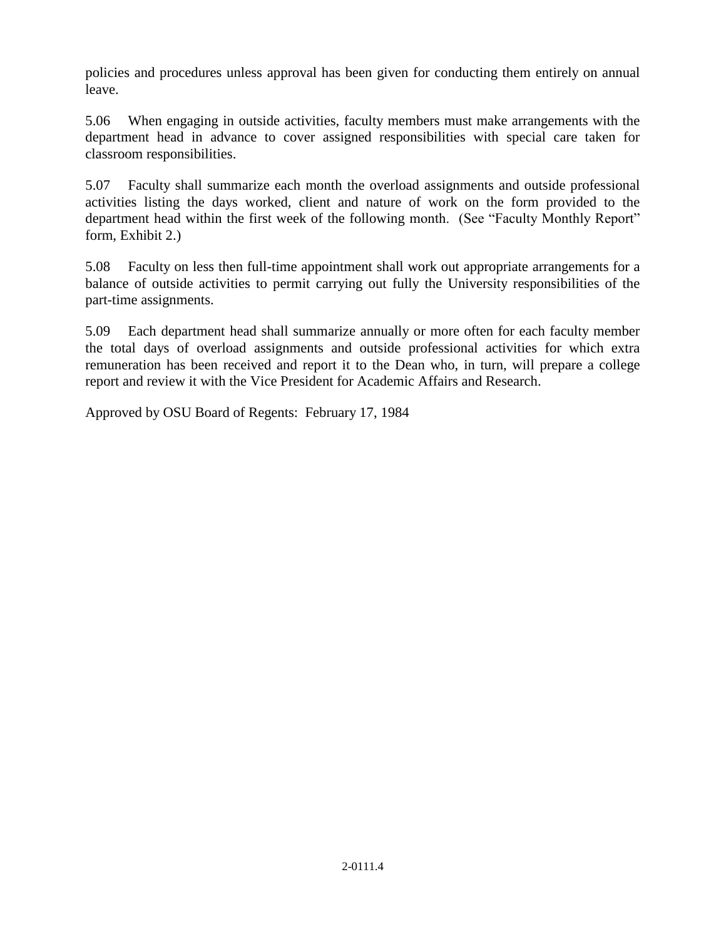policies and procedures unless approval has been given for conducting them entirely on annual leave.

5.06 When engaging in outside activities, faculty members must make arrangements with the department head in advance to cover assigned responsibilities with special care taken for classroom responsibilities.

5.07 Faculty shall summarize each month the overload assignments and outside professional activities listing the days worked, client and nature of work on the form provided to the department head within the first week of the following month. (See "Faculty Monthly Report" form, Exhibit 2.)

5.08 Faculty on less then full-time appointment shall work out appropriate arrangements for a balance of outside activities to permit carrying out fully the University responsibilities of the part-time assignments.

5.09 Each department head shall summarize annually or more often for each faculty member the total days of overload assignments and outside professional activities for which extra remuneration has been received and report it to the Dean who, in turn, will prepare a college report and review it with the Vice President for Academic Affairs and Research.

Approved by OSU Board of Regents: February 17, 1984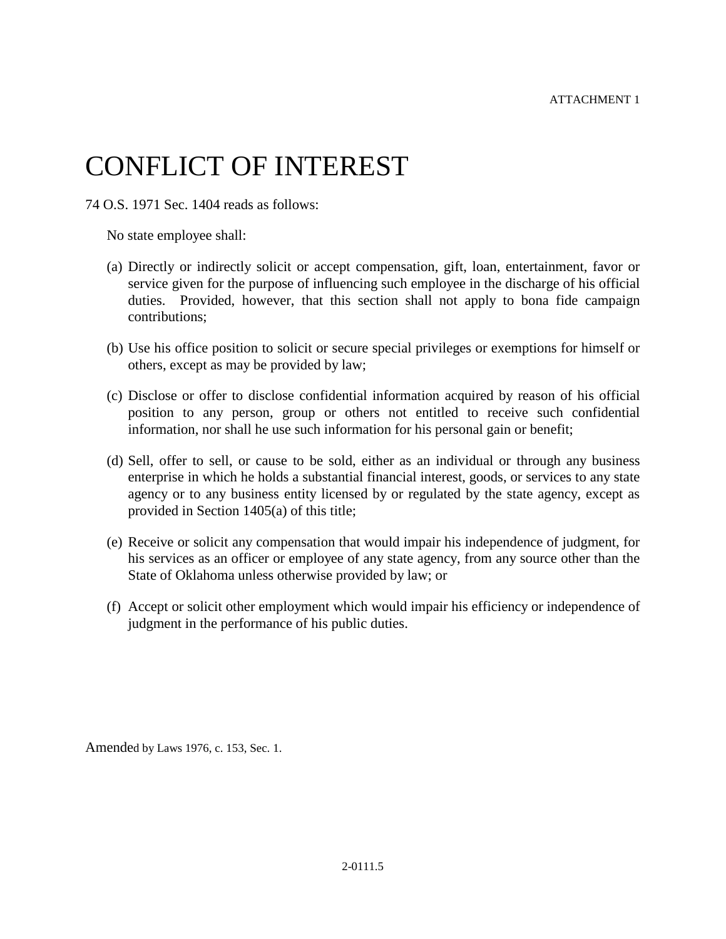# CONFLICT OF INTEREST

74 O.S. 1971 Sec. 1404 reads as follows:

No state employee shall:

- (a) Directly or indirectly solicit or accept compensation, gift, loan, entertainment, favor or service given for the purpose of influencing such employee in the discharge of his official duties. Provided, however, that this section shall not apply to bona fide campaign contributions;
- (b) Use his office position to solicit or secure special privileges or exemptions for himself or others, except as may be provided by law;
- (c) Disclose or offer to disclose confidential information acquired by reason of his official position to any person, group or others not entitled to receive such confidential information, nor shall he use such information for his personal gain or benefit;
- (d) Sell, offer to sell, or cause to be sold, either as an individual or through any business enterprise in which he holds a substantial financial interest, goods, or services to any state agency or to any business entity licensed by or regulated by the state agency, except as provided in Section 1405(a) of this title;
- (e) Receive or solicit any compensation that would impair his independence of judgment, for his services as an officer or employee of any state agency, from any source other than the State of Oklahoma unless otherwise provided by law; or
- (f) Accept or solicit other employment which would impair his efficiency or independence of judgment in the performance of his public duties.

Amended by Laws 1976, c. 153, Sec. 1.